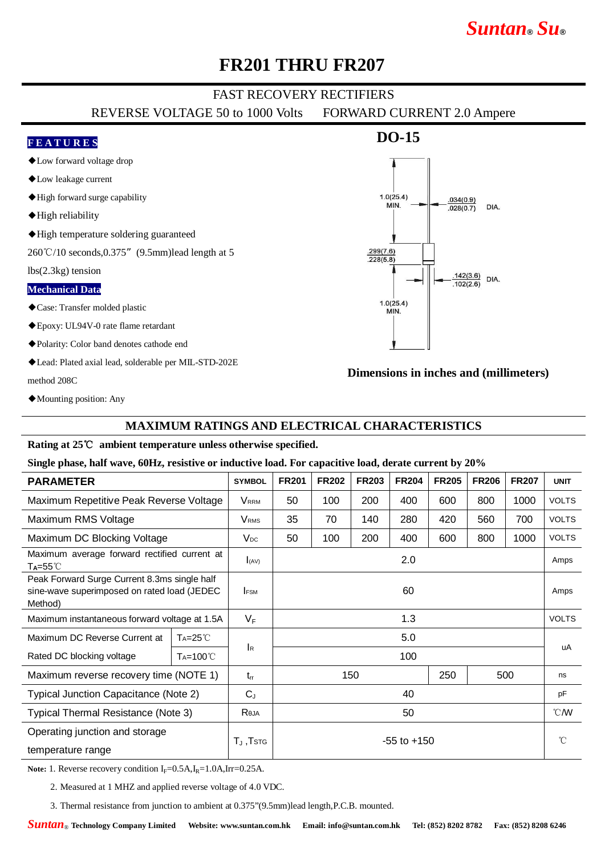# *Suntan***®** *Su***®**

# **FR201 THRU FR207**

## FAST RECOVERY RECTIFIERS

REVERSE VOLTAGE 50 to 1000 Volts FORWARD CURRENT 2.0 Ampere

### **F E A T U R E S**

- ◆Low forward voltage drop
- ◆Low leakage current
- ◆High forward surge capability
- ◆High reliability
- ◆High temperature soldering guaranteed

260℃/10 seconds,0.375"(9.5mm)lead length at 5

lbs(2.3kg) tension

#### **Mechanical Data**

- ◆Case: Transfer molded plastic
- ◆Epoxy: UL94V-0 rate flame retardant
- ◆Polarity: Color band denotes cathode end
- ◆Lead: Plated axial lead, solderable per MIL-STD-202E method 208C

**DO-15**



### **Dimensions in inches and (millimeters)**

◆Mounting position: Any

### **MAXIMUM RATINGS AND ELECTRICAL CHARACTERISTICS**

#### **Rating at 25**℃ **ambient temperature unless otherwise specified.**

#### **Single phase, half wave, 60Hz, resistive or inductive load. For capacitive load, derate current by 20%**

| <b>PARAMETER</b>                                                                                       |                      | <b>SYMBOL</b>           | <b>FR201</b>      | <b>FR202</b> | <b>FR203</b> | <b>FR204</b> | <b>FR205</b> | <b>FR206</b> | <b>FR207</b> | <b>UNIT</b>  |
|--------------------------------------------------------------------------------------------------------|----------------------|-------------------------|-------------------|--------------|--------------|--------------|--------------|--------------|--------------|--------------|
| Maximum Repetitive Peak Reverse Voltage                                                                |                      | <b>V</b> <sub>RRM</sub> | 50                | 100          | 200          | 400          | 600          | 800          | 1000         | <b>VOLTS</b> |
| Maximum RMS Voltage                                                                                    |                      | <b>V</b> <sub>RMS</sub> | 35                | 70           | 140          | 280          | 420          | 560          | 700          | <b>VOLTS</b> |
| Maximum DC Blocking Voltage                                                                            |                      | $V_{DC}$                | 50                | 100          | 200          | 400          | 600          | 800          | 1000         | <b>VOLTS</b> |
| Maximum average forward rectified current at<br>$T_A = 55^{\circ}$                                     |                      | I(AV)                   | 2.0               |              |              |              |              |              |              | Amps         |
| Peak Forward Surge Current 8.3ms single half<br>sine-wave superimposed on rated load (JEDEC<br>Method) |                      | <b>IFSM</b>             | 60                |              |              |              |              |              |              | Amps         |
| Maximum instantaneous forward voltage at 1.5A                                                          |                      | $V_F$                   | 1.3               |              |              |              |              |              |              | <b>VOLTS</b> |
| Maximum DC Reverse Current at                                                                          | $Ta=25^{\circ}C$     |                         | 5.0               |              |              |              |              |              |              | uA           |
| Rated DC blocking voltage                                                                              | T <sub>A</sub> =100℃ | IR                      | 100               |              |              |              |              |              |              |              |
| Maximum reverse recovery time (NOTE 1)                                                                 |                      | $t_{rr}$                | 150<br>250<br>500 |              |              |              |              | ns           |              |              |
| Typical Junction Capacitance (Note 2)                                                                  |                      | $C_{J}$                 | 40                |              |              |              |              |              |              | pF           |
| Typical Thermal Resistance (Note 3)                                                                    |                      | Reja                    | 50                |              |              |              |              |              |              | °C/W         |
| Operating junction and storage                                                                         |                      |                         | $-55$ to $+150$   |              |              |              |              |              |              | $^{\circ}$ C |
| temperature range                                                                                      |                      | $T_J$ , $TSTG$          |                   |              |              |              |              |              |              |              |

**Note:** 1. Reverse recovery condition  $I_F = 0.5A$ , $I_R = 1.0A$ , $Irr = 0.25A$ .

2. Measured at 1 MHZ and applied reverse voltage of 4.0 VDC.

3. Thermal resistance from junction to ambient at 0.375"(9.5mm)lead length,P.C.B. mounted.